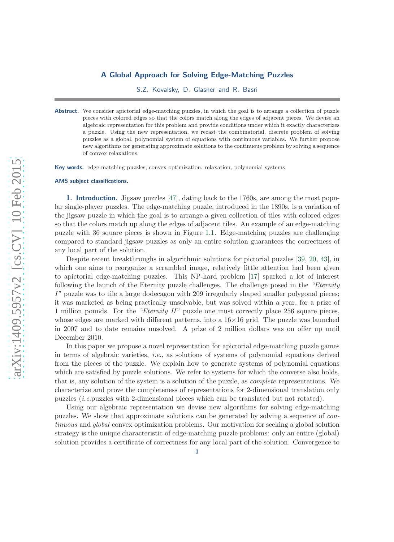## A Global Approach for Solving Edge-Matching Puzzles

S.Z. Kovalsky, D. Glasner and R. Basri

Abstract. We consider apictorial edge-matching puzzles, in which the goal is to arrange a collection of puzzle pieces with colored edges so that the colors match along the edges of adjacent pieces. We devise an algebraic representation for this problem and provide conditions under which it exactly characterizes a puzzle. Using the new representation, we recast the combinatorial, discrete problem of solving puzzles as a global, polynomial system of equations with continuous variables. We further propose new algorithms for generating approximate solutions to the continuous problem by solving a sequence of convex relaxations.

Key words. edge-matching puzzles, convex optimization, relaxation, polynomial systems

#### AMS subject classifications.

1. Introduction. Jigsaw puzzles [\[47\]](#page-23-0), dating back to the 1760s, are among the most popular single-player puzzles. The edge-matching puzzle, introduced in the 1890s, is a variation of the jigsaw puzzle in which the goal is to arrange a given collection of tiles with colored edges so that the colors match up along the edges of adjacent tiles. An example of an edge-matching puzzle with 36 square pieces is shown in Figure [1.1.](#page-1-0) Edge-matching puzzles are challenging compared to standard jigsaw puzzles as only an entire solution guarantees the correctness of any local part of the solution.

Despite recent breakthroughs in algorithmic solutions for pictorial puzzles [\[39,](#page-22-0) [20,](#page-22-1) [43\]](#page-22-2), in which one aims to reorganize a scrambled image, relatively little attention had been given to apictorial edge-matching puzzles. This NP-hard problem [\[17\]](#page-21-0) sparked a lot of interest following the launch of the Eternity puzzle challenges. The challenge posed in the *"Eternity I*" puzzle was to tile a large dodecagon with 209 irregularly shaped smaller polygonal pieces; it was marketed as being practically unsolvable, but was solved within a year, for a prize of 1 million pounds. For the *"Eternity II"* puzzle one must correctly place 256 square pieces, whose edges are marked with different patterns, into a  $16\times16$  grid. The puzzle was launched in 2007 and to date remains unsolved. A prize of 2 million dollars was on offer up until December 2010.

In this paper we propose a novel representation for apictorial edge-matching puzzle games in terms of algebraic varieties, *i.e.*, as solutions of systems of polynomial equations derived from the pieces of the puzzle. We explain how to generate systems of polynomial equations which are satisfied by puzzle solutions. We refer to systems for which the converse also holds, that is, any solution of the system is a solution of the puzzle, as *complete* representations. We characterize and prove the completeness of representations for 2-dimensional translation only puzzles (*i.e.*puzzles with 2-dimensional pieces which can be translated but not rotated).

Using our algebraic representation we devise new algorithms for solving edge-matching puzzles. We show that approximate solutions can be generated by solving a sequence of *continuous* and *global* convex optimization problems. Our motivation for seeking a global solution strategy is the unique characteristic of edge-matching puzzle problems: only an entire (global) solution provides a certificate of correctness for any local part of the solution. Convergence to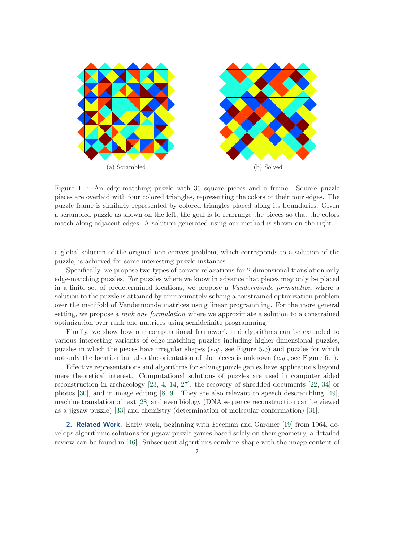<span id="page-1-0"></span>

Figure 1.1: An edge-matching puzzle with 36 square pieces and a frame. Square puzzle pieces are overlaid with four colored triangles, representing the colors of their four edges. The puzzle frame is similarly represented by colored triangles placed along its boundaries. Given a scrambled puzzle as shown on the left, the goal is to rearrange the pieces so that the colors match along adjacent edges. A solution generated using our method is shown on the right.

a global solution of the original non-convex problem, which corresponds to a solution of the puzzle, is achieved for some interesting puzzle instances.

Specifically, we propose two types of convex relaxations for 2-dimensional translation only edge-matching puzzles. For puzzles where we know in advance that pieces may only be placed in a finite set of predetermined locations, we propose a *Vandermonde formulation* where a solution to the puzzle is attained by approximately solving a constrained optimization problem over the manifold of Vandermonde matrices using linear programming. For the more general setting, we propose a *rank one formulation* where we approximate a solution to a constrained optimization over rank one matrices using semidefinite programming.

Finally, we show how our computational framework and algorithms can be extended to various interesting variants of edge-matching puzzles including higher-dimensional puzzles, puzzles in which the pieces have irregular shapes (*e.g.*, see Figure [5.3\)](#page-15-0) and puzzles for which not only the location but also the orientation of the pieces is unknown (*e.g.*, see Figure [6.1\)](#page-17-0).

Effective representations and algorithms for solving puzzle games have applications beyond mere theoretical interest. Computational solutions of puzzles are used in computer aided reconstruction in archaeology [\[23,](#page-22-3) [4,](#page-21-1) [14,](#page-21-2) [27\]](#page-22-4), the recovery of shredded documents [\[22,](#page-22-5) [34\]](#page-22-6) or photos [\[30\]](#page-22-7), and in image editing [\[8,](#page-21-3) [9\]](#page-21-4). They are also relevant to speech descrambling [\[49\]](#page-23-1), machine translation of text [\[28\]](#page-22-8) and even biology (DNA sequence reconstruction can be viewed as a jigsaw puzzle) [\[33\]](#page-22-9) and chemistry (determination of molecular conformation) [\[31\]](#page-22-10).

2. Related Work. Early work, beginning with Freeman and Gardner [\[19\]](#page-22-11) from 1964, develops algorithmic solutions for jigsaw puzzle games based solely on their geometry, a detailed review can be found in [\[46\]](#page-23-2). Subsequent algorithms combine shape with the image content of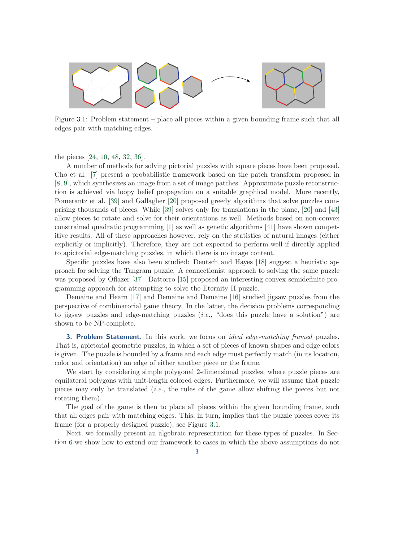<span id="page-2-0"></span>

Figure 3.1: Problem statement – place all pieces within a given bounding frame such that all edges pair with matching edges.

the pieces [\[24,](#page-22-12) [10,](#page-21-5) [48,](#page-23-3) [32,](#page-22-13) [36\]](#page-22-14).

A number of methods for solving pictorial puzzles with square pieces have been proposed. Cho et al. [\[7\]](#page-21-6) present a probabilistic framework based on the patch transform proposed in [\[8,](#page-21-3) [9\]](#page-21-4), which synthesizes an image from a set of image patches. Approximate puzzle reconstruction is achieved via loopy belief propagation on a suitable graphical model. More recently, Pomerantz et al. [\[39\]](#page-22-0) and Gallagher [\[20\]](#page-22-1) proposed greedy algorithms that solve puzzles comprising thousands of pieces. While [\[39\]](#page-22-0) solves only for translations in the plane, [\[20\]](#page-22-1) and [\[43\]](#page-22-2) allow pieces to rotate and solve for their orientations as well. Methods based on non-convex constrained quadratic programming [\[1\]](#page-21-7) as well as genetic algorithms [\[41\]](#page-22-15) have shown competitive results. All of these approaches however, rely on the statistics of natural images (either explicitly or implicitly). Therefore, they are not expected to perform well if directly applied to apictorial edge-matching puzzles, in which there is no image content.

Specific puzzles have also been studied: Deutsch and Hayes [\[18\]](#page-22-16) suggest a heuristic approach for solving the Tangram puzzle. A connectionist approach to solving the same puzzle was proposed by Oflazer [\[37\]](#page-22-17). Dattorro [\[15\]](#page-21-8) proposed an interesting convex semidefinite programming approach for attempting to solve the Eternity II puzzle.

Demaine and Hearn [\[17\]](#page-21-0) and Demaine and Demaine [\[16\]](#page-21-9) studied jigsaw puzzles from the perspective of combinatorial game theory. In the latter, the decision problems corresponding to jigsaw puzzles and edge-matching puzzles (*i.e.*, "does this puzzle have a solution") are shown to be NP-complete.

<span id="page-2-1"></span>3. Problem Statement. In this work, we focus on *ideal edge-matching framed* puzzles. That is, apictorial geometric puzzles, in which a set of pieces of known shapes and edge colors is given. The puzzle is bounded by a frame and each edge must perfectly match (in its location, color and orientation) an edge of either another piece or the frame.

We start by considering simple polygonal 2-dimensional puzzles, where puzzle pieces are equilateral polygons with unit-length colored edges. Furthermore, we will assume that puzzle pieces may only be translated (*i.e.*, the rules of the game allow shifting the pieces but not rotating them).

The goal of the game is then to place all pieces within the given bounding frame, such that all edges pair with matching edges. This, in turn, implies that the puzzle pieces cover its frame (for a properly designed puzzle), see Figure [3.1.](#page-2-0)

Next, we formally present an algebraic representation for these types of puzzles. In Section [6](#page-13-0) we show how to extend our framework to cases in which the above assumptions do not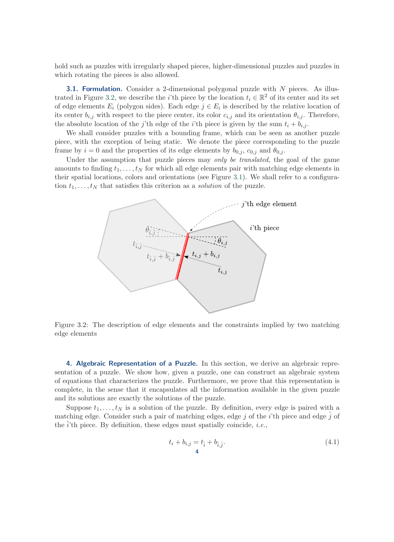hold such as puzzles with irregularly shaped pieces, higher-dimensional puzzles and puzzles in which rotating the pieces is also allowed.

**3.1. Formulation.** Consider a 2-dimensional polygonal puzzle with  $N$  pieces. As illus-trated in Figure [3.2,](#page-3-0) we describe the *i*'th piece by the location  $t_i \in \mathbb{R}^2$  of its center and its set of edge elements  $E_i$  (polygon sides). Each edge  $j \in E_i$  is described by the relative location of its center  $b_{i,j}$  with respect to the piece center, its color  $c_{i,j}$  and its orientation  $\theta_{i,j}$ . Therefore, the absolute location of the j'th edge of the i'th piece is given by the sum  $t_i + b_{i,j}$ .

We shall consider puzzles with a bounding frame, which can be seen as another puzzle piece, with the exception of being static. We denote the piece corresponding to the puzzle frame by  $i = 0$  and the properties of its edge elements by  $b_{0,i}$ ,  $c_{0,i}$  and  $\theta_{0,i}$ .

<span id="page-3-0"></span>Under the assumption that puzzle pieces may *only be translated*, the goal of the game amounts to finding  $t_1, \ldots, t_N$  for which all edge elements pair with matching edge elements in their spatial locations, colors and orientations (see Figure [3.1\)](#page-2-0). We shall refer to a configuration  $t_1, \ldots, t_N$  that satisfies this criterion as a *solution* of the puzzle.



Figure 3.2: The description of edge elements and the constraints implied by two matching edge elements

<span id="page-3-2"></span>4. Algebraic Representation of a Puzzle. In this section, we derive an algebraic representation of a puzzle. We show how, given a puzzle, one can construct an algebraic system of equations that characterizes the puzzle. Furthermore, we prove that this representation is complete, in the sense that it encapsulates all the information available in the given puzzle and its solutions are exactly the solutions of the puzzle.

Suppose  $t_1, \ldots, t_N$  is a solution of the puzzle. By definition, every edge is paired with a matching edge. Consider such a pair of matching edges, edge j of the i'th piece and edge  $\hat{j}$  of the  $\ddot{i}$ <sup>th</sup> piece. By definition, these edges must spatially coincide, *i.e.*,

<span id="page-3-1"></span>
$$
t_i + b_{i,j} = t_{\hat{i}} + b_{\hat{i},\hat{j}}.
$$
\n(4.1)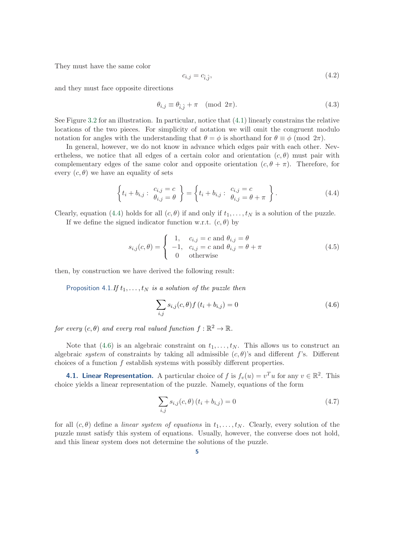They must have the same color

$$
c_{i,j} = c_{\hat{i},\hat{j}},\tag{4.2}
$$

and they must face opposite directions

$$
\theta_{i,j} \equiv \theta_{\hat{i},\hat{j}} + \pi \pmod{2\pi}.
$$
\n(4.3)

See Figure [3.2](#page-3-0) for an illustration. In particular, notice that [\(4.1\)](#page-3-1) linearly constrains the relative locations of the two pieces. For simplicity of notation we will omit the congruent modulo notation for angles with the understanding that  $\theta = \phi$  is shorthand for  $\theta \equiv \phi \pmod{2\pi}$ .

In general, however, we do not know in advance which edges pair with each other. Nevertheless, we notice that all edges of a certain color and orientation  $(c, \theta)$  must pair with complementary edges of the same color and opposite orientation  $(c, \theta + \pi)$ . Therefore, for every  $(c, \theta)$  we have an equality of sets

<span id="page-4-0"></span>
$$
\left\{t_i + b_{i,j} : \begin{array}{c}c_{i,j} = c\\ \theta_{i,j} = \theta\end{array}\right\} = \left\{t_i + b_{i,j} : \begin{array}{c}c_{i,j} = c\\ \theta_{i,j} = \theta + \pi\end{array}\right\}.
$$
\n(4.4)

Clearly, equation [\(4.4\)](#page-4-0) holds for all  $(c, \theta)$  if and only if  $t_1, \ldots, t_N$  is a solution of the puzzle.

If we define the signed indicator function w.r.t.  $(c, \theta)$  by

$$
s_{i,j}(c,\theta) = \begin{cases} 1, & c_{i,j} = c \text{ and } \theta_{i,j} = \theta \\ -1, & c_{i,j} = c \text{ and } \theta_{i,j} = \theta + \pi \\ 0 & \text{otherwise} \end{cases}
$$
(4.5)

then, by construction we have derived the following result:

Proposition 4.1.*If*  $t_1, \ldots, t_N$  *is a solution of the puzzle then* 

<span id="page-4-1"></span>
$$
\sum_{i,j} s_{i,j}(c,\theta) f(t_i + b_{i,j}) = 0
$$
\n(4.6)

*for every*  $(c, \theta)$  *and every real valued function*  $f : \mathbb{R}^2 \to \mathbb{R}$ *.* 

Note that [\(4.6\)](#page-4-1) is an algebraic constraint on  $t_1, \ldots, t_N$ . This allows us to construct an algebraic *system* of constraints by taking all admissible  $(c, \theta)$ 's and different f's. Different choices of a function f establish systems with possibly different properties.

**4.1. Linear Representation.** A particular choice of f is  $f_v(u) = v^T u$  for any  $v \in \mathbb{R}^2$ . This choice yields a linear representation of the puzzle. Namely, equations of the form

$$
\sum_{i,j} s_{i,j}(c,\theta) (t_i + b_{i,j}) = 0
$$
\n(4.7)

for all  $(c, \theta)$  define a *linear system of equations* in  $t_1, \ldots, t_N$ . Clearly, every solution of the puzzle must satisfy this system of equations. Usually, however, the converse does not hold, and this linear system does not determine the solutions of the puzzle.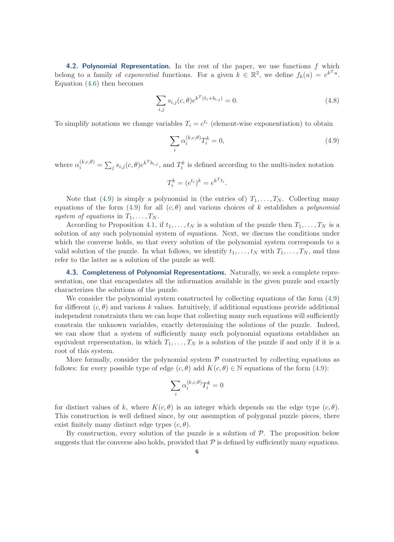<span id="page-5-1"></span>4.2. Polynomial Representation. In the rest of the paper, we use functions  $f$  which belong to a family of *exponential* functions. For a given  $k \in \mathbb{R}^2$ , we define  $f_k(u) = e^{k^T u}$ . Equation [\(4.6\)](#page-4-1) then becomes

$$
\sum_{i,j} s_{i,j}(c,\theta) e^{k^{T}(t_i + b_{i,j})} = 0.
$$
\n(4.8)

To simplify notations we change variables  $T_i = e^{t_i}$  (element-wise exponentiation) to obtain

<span id="page-5-0"></span>
$$
\sum_{i} \alpha_i^{(k,c,\theta)} T_i^k = 0,\tag{4.9}
$$

where  $\alpha_i^{(k,c,\theta)} = \sum_j s_{i,j}(c,\theta) e^{k^T b_{i,j}}$ , and  $T_i^k$  is defined according to the multi-index notation

$$
T_i^k = (e^{t_i})^k = e^{k^T t_i}.
$$

Note that [\(4.9\)](#page-5-0) is simply a polynomial in (the entries of)  $T_1, \ldots, T_N$ . Collecting many equations of the form [\(4.9\)](#page-5-0) for all  $(c, \theta)$  and various choices of k establishes a *polynomial* system of equations in  $T_1, \ldots, T_N$ .

According to Proposition [4.1,](#page-4-1) if  $t_1, \ldots, t_N$  is a solution of the puzzle then  $T_1, \ldots, T_N$  is a solution of any such polynomial system of equations. Next, we discuss the conditions under which the converse holds, so that every solution of the polynomial system corresponds to a valid solution of the puzzle. In what follows, we identify  $t_1, \ldots, t_N$  with  $T_1, \ldots, T_N$ , and thus refer to the latter as a solution of the puzzle as well.

4.3. Completeness of Polynomial Representations. Naturally, we seek a complete representation, one that encapsulates all the information available in the given puzzle and exactly characterizes the solutions of the puzzle.

We consider the polynomial system constructed by collecting equations of the form [\(4.9\)](#page-5-0) for different  $(c, \theta)$  and various k values. Intuitively, if additional equations provide additional independent constraints then we can hope that collecting many such equations will sufficiently constrain the unknown variables, exactly determining the solutions of the puzzle. Indeed, we can show that a system of sufficiently many such polynomial equations establishes an equivalent representation, in which  $T_1, \ldots, T_N$  is a solution of the puzzle if and only if it is a root of this system.

More formally, consider the polynomial system  $P$  constructed by collecting equations as follows: for every possible type of edge  $(c, \theta)$  add  $K(c, \theta) \in \mathbb{N}$  equations of the form [\(4.9\)](#page-5-0):

$$
\sum_i \alpha_i^{(k,c,\theta)} T_i^k = 0
$$

for distinct values of k, where  $K(c, \theta)$  is an integer which depends on the edge type  $(c, \theta)$ . This construction is well defined since, by our assumption of polygonal puzzle pieces, there exist finitely many distinct edge types  $(c, \theta)$ .

By construction, every solution of the puzzle is a solution of  $P$ . The proposition below suggests that the converse also holds, provided that  $\mathcal P$  is defined by sufficiently many equations.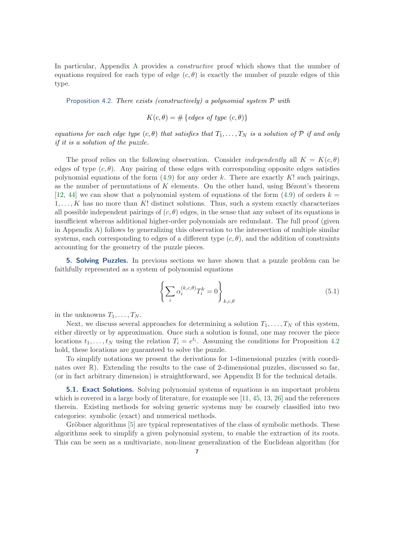In particular, Appendix [A](#page-17-1) provides a *constructive* proof which shows that the number of equations required for each type of edge  $(c, \theta)$  is exactly the number of puzzle edges of this type.

<span id="page-6-0"></span>Proposition 4.2. *There exists (constructively) a polynomial system* P *with*

 $K(c, \theta) = \# \{edges \ of \ type \ (c, \theta) \}$ 

*equations for each edge type*  $(c, \theta)$  *that satisfies that*  $T_1, \ldots, T_N$  *is a solution of*  $P$  *if and only if it is a solution of the puzzle.*

The proof relies on the following observation. Consider *independently* all  $K = K(c, \theta)$ edges of type  $(c, \theta)$ . Any pairing of these edges with corresponding opposite edges satisfies polynomial equations of the form  $(4.9)$  for any order k. There are exactly K! such pairings, as the number of permutations of  $K$  elements. On the other hand, using Bézout's theorem [\[12,](#page-21-10) [44\]](#page-23-4) we can show that a polynomial system of equations of the form [\(4.9\)](#page-5-0) of orders  $k =$  $1, \ldots, K$  has no more than K! distinct solutions. Thus, such a system exactly characterizes all possible independent pairings of  $(c, \theta)$  edges, in the sense that any subset of its equations is insufficient whereas additional higher-order polynomials are redundant. The full proof (given in Appendix [A\)](#page-17-1) follows by generalizing this observation to the intersection of multiple similar systems, each corresponding to edges of a different type  $(c, \theta)$ , and the addition of constraints accounting for the geometry of the puzzle pieces.

<span id="page-6-2"></span>**5. Solving Puzzles.** In previous sections we have shown that a puzzle problem can be faithfully represented as a system of polynomial equations

<span id="page-6-1"></span>
$$
\left\{\sum_{i} \alpha_i^{(k,c,\theta)} T_i^k = 0\right\}_{k,c,\theta} \tag{5.1}
$$

in the unknowns  $T_1, \ldots, T_N$ .

Next, we discuss several approaches for determining a solution  $T_1, \ldots, T_N$  of this system, either directly or by approximation. Once such a solution is found, one may recover the piece locations  $t_1, \ldots, t_N$  using the relation  $T_i = e^{t_i}$ . Assuming the conditions for Proposition [4.2](#page-6-0) hold, these locations are guaranteed to solve the puzzle.

To simplify notations we present the derivations for 1-dimensional puzzles (with coordinates over R). Extending the results to the case of 2-dimensional puzzles, discussed so far, (or in fact arbitrary dimension) is straightforward, see Appendix [B](#page-20-0) for the technical details.

**5.1. Exact Solutions.** Solving polynomial systems of equations is an important problem which is covered in a large body of literature, for example see [\[11,](#page-21-11) [45,](#page-23-5) [13,](#page-21-12) [26\]](#page-22-18) and the references therein. Existing methods for solving generic systems may be coarsely classified into two categories: symbolic (exact) and numerical methods.

Gröbner algorithms [\[5\]](#page-21-13) are typical representatives of the class of symbolic methods. These algorithms seek to simplify a given polynomial system, to enable the extraction of its roots. This can be seen as a multivariate, non-linear generalization of the Euclidean algorithm (for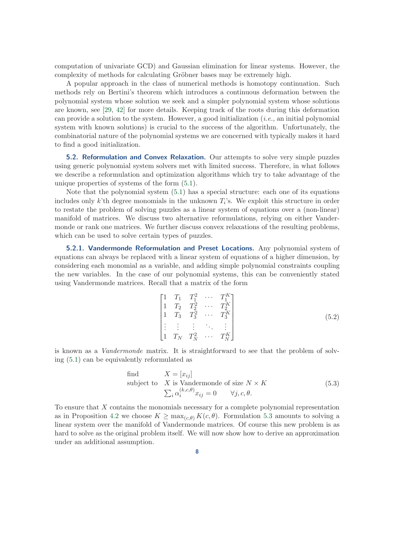computation of univariate GCD) and Gaussian elimination for linear systems. However, the complexity of methods for calculating Gröbner bases may be extremely high.

A popular approach in the class of numerical methods is homotopy continuation. Such methods rely on Bertini's theorem which introduces a continuous deformation between the polynomial system whose solution we seek and a simpler polynomial system whose solutions are known, see [\[29,](#page-22-19) [42\]](#page-22-20) for more details. Keeping track of the roots during this deformation can provide a solution to the system. However, a good initialization (*i.e.*, an initial polynomial system with known solutions) is crucial to the success of the algorithm. Unfortunately, the combinatorial nature of the polynomial systems we are concerned with typically makes it hard to find a good initialization.

5.2. Reformulation and Convex Relaxation. Our attempts to solve very simple puzzles using generic polynomial system solvers met with limited success. Therefore, in what follows we describe a reformulation and optimization algorithms which try to take advantage of the unique properties of systems of the form [\(5.1\)](#page-6-1).

Note that the polynomial system [\(5.1\)](#page-6-1) has a special structure: each one of its equations includes only  $k$ 'th degree monomials in the unknown  $T_i$ 's. We exploit this structure in order to restate the problem of solving puzzles as a linear system of equations over a (non-linear) manifold of matrices. We discuss two alternative reformulations, relying on either Vandermonde or rank one matrices. We further discuss convex relaxations of the resulting problems, which can be used to solve certain types of puzzles.

<span id="page-7-2"></span>**5.2.1. Vandermonde Reformulation and Preset Locations.** Any polynomial system of equations can always be replaced with a linear system of equations of a higher dimension, by considering each monomial as a variable, and adding simple polynomial constraints coupling the new variables. In the case of our polynomial systems, this can be conveniently stated using Vandermonde matrices. Recall that a matrix of the form

<span id="page-7-1"></span><span id="page-7-0"></span>
$$
\begin{bmatrix}\n1 & T_1 & T_1^2 & \cdots & T_1^K \\
1 & T_2 & T_2^2 & \cdots & T_2^K \\
1 & T_3 & T_3^2 & \cdots & T_3^K \\
\vdots & \vdots & \vdots & \ddots & \vdots \\
1 & T_N & T_N^2 & \cdots & T_N^K\n\end{bmatrix}
$$
\n(5.2)

is known as a *Vandermonde* matrix. It is straightforward to see that the problem of solving [\(5.1\)](#page-6-1) can be equivalently reformulated as

find 
$$
X = [x_{ij}]
$$
  
subject to X is Vandermonde of size  $N \times K$   

$$
\sum_{i} \alpha_i^{(k,c,\theta)} x_{ij} = 0 \qquad \forall j, c, \theta.
$$
 (5.3)

To ensure that X contains the monomials necessary for a complete polynomial representation as in Proposition [4.2](#page-6-0) we choose  $K \ge \max_{(c,\theta)} K(c,\theta)$ . Formulation [5.3](#page-7-0) amounts to solving a linear system over the manifold of Vandermonde matrices. Of course this new problem is as hard to solve as the original problem itself. We will now show how to derive an approximation under an additional assumption.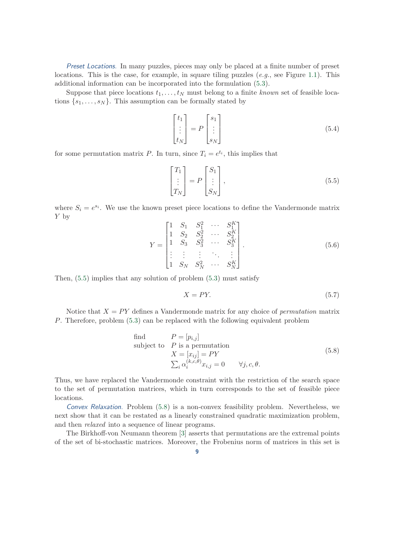Preset Locations. In many puzzles, pieces may only be placed at a finite number of preset locations. This is the case, for example, in square tiling puzzles (*e.g.*, see Figure [1.1\)](#page-1-0). This additional information can be incorporated into the formulation [\(5.3\)](#page-7-0).

Suppose that piece locations  $t_1, \ldots, t_N$  must belong to a finite *known* set of feasible locations  $\{s_1, \ldots, s_N\}$ . This assumption can be formally stated by

$$
\begin{bmatrix} t_1 \\ \vdots \\ t_N \end{bmatrix} = P \begin{bmatrix} s_1 \\ \vdots \\ s_N \end{bmatrix}
$$
 (5.4)

for some permutation matrix P. In turn, since  $T_i = e^{t_i}$ , this implies that

<span id="page-8-0"></span>
$$
\begin{bmatrix} T_1 \\ \vdots \\ T_N \end{bmatrix} = P \begin{bmatrix} S_1 \\ \vdots \\ S_N \end{bmatrix}, \tag{5.5}
$$

<span id="page-8-2"></span>where  $S_i = e^{s_i}$ . We use the known preset piece locations to define the Vandermonde matrix Y by

$$
Y = \begin{bmatrix} 1 & S_1 & S_1^2 & \cdots & S_1^K \\ 1 & S_2 & S_2^2 & \cdots & S_2^K \\ 1 & S_3 & S_3^2 & \cdots & S_3^K \\ \vdots & \vdots & \vdots & \ddots & \vdots \\ 1 & S_N & S_N^2 & \cdots & S_N^K \end{bmatrix} .
$$
 (5.6)

Then,  $(5.5)$  implies that any solution of problem  $(5.3)$  must satisfy

<span id="page-8-1"></span>
$$
X = PY.
$$
\n<sup>(5.7)</sup>

Notice that  $X = PY$  defines a Vandermonde matrix for any choice of *permutation* matrix P. Therefore, problem [\(5.3\)](#page-7-0) can be replaced with the following equivalent problem

find 
$$
P = [p_{i,j}]
$$
  
\nsubject to  $P$  is a permutation  
\n
$$
X = [x_{ij}] = PY
$$
\n
$$
\sum_{i} \alpha_i^{(k,c,\theta)} x_{i,j} = 0 \qquad \forall j, c, \theta.
$$
\n(5.8)

Thus, we have replaced the Vandermonde constraint with the restriction of the search space to the set of permutation matrices, which in turn corresponds to the set of feasible piece locations.

Convex Relaxation. Problem [\(5.8\)](#page-8-1) is a non-convex feasibility problem. Nevertheless, we next show that it can be restated as a linearly constrained quadratic maximization problem, and then *relaxed* into a sequence of linear programs.

The Birkhoff-von Neumann theorem [\[3\]](#page-21-14) asserts that permutations are the extremal points of the set of bi-stochastic matrices. Moreover, the Frobenius norm of matrices in this set is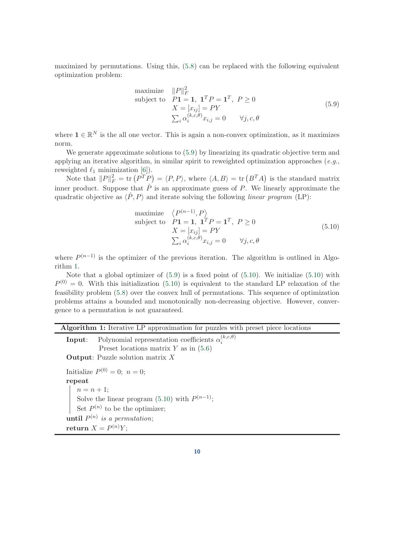maximized by permutations. Using this, [\(5.8\)](#page-8-1) can be replaced with the following equivalent optimization problem:

<span id="page-9-0"></span>maximize 
$$
||P||_F^2
$$
  
\nsubject to  $P\mathbf{1} = \mathbf{1}, \ \mathbf{1}^T P = \mathbf{1}^T, \ P \ge 0$   
\n $X = [x_{ij}] = PY$   
\n $\sum_i \alpha_i^{(k,c,\theta)} x_{i,j} = 0 \qquad \forall j,c,\theta$  (5.9)

where  $\mathbf{1} \in \mathbb{R}^N$  is the all one vector. This is again a non-convex optimization, as it maximizes norm.

We generate approximate solutions to  $(5.9)$  by linearizing its quadratic objective term and applying an iterative algorithm, in similar spirit to reweighted optimization approaches (*e.g.*, reweighted  $\ell_1$  minimization [\[6\]](#page-21-15)).

Note that  $||P||_F^2 = \text{tr} (P^T P) = \langle P, P \rangle$ , where  $\langle A, B \rangle = \text{tr} (B^T A)$  is the standard matrix inner product. Suppose that  $\hat{P}$  is an approximate guess of P. We linearly approximate the quadratic objective as  $\langle \hat{P}, P \rangle$  and iterate solving the following *linear program* (LP):

<span id="page-9-2"></span>maximize 
$$
\langle P^{(n-1)}, P \rangle
$$
  
\nsubject to  $P\mathbf{1} = \mathbf{1}, \mathbf{1}^T P = \mathbf{1}^T, P \ge 0$   
\n $X = [x_{ij}] = PY$   
\n $\sum_i \alpha_i^{(k,c,\theta)} x_{i,j} = 0 \quad \forall j, c, \theta$  (5.10)

where  $P^{(n-1)}$  is the optimizer of the previous iteration. The algorithm is outlined in Algorithm [1.](#page-9-1)

Note that a global optimizer of [\(5.9\)](#page-9-0) is a fixed point of [\(5.10\)](#page-9-2). We initialize [\(5.10\)](#page-9-2) with  $P^{(0)} = 0$ . With this initialization [\(5.10\)](#page-9-2) is equivalent to the standard LP relaxation of the feasibility problem [\(5.8\)](#page-8-1) over the convex hull of permutations. This sequence of optimization problems attains a bounded and monotonically non-decreasing objective. However, convergence to a permutation is not guaranteed.

| <b>Algorithm 1:</b> Iterative LP approximation for puzzles with preset piece locations |  |  |  |
|----------------------------------------------------------------------------------------|--|--|--|
|                                                                                        |  |  |  |

<span id="page-9-1"></span>**Input:** Polynomial representation coefficients  $\alpha_i^{(k,c,\theta)}$ i Preset locations matrix  $Y$  as in  $(5.6)$ Output: Puzzle solution matrix X Initialize  $P^{(0)} = 0$ ;  $n = 0$ ; repeat  $n = n + 1;$ Solve the linear program  $(5.10)$  with  $P^{(n-1)}$ ; Set  $P^{(n)}$  to be the optimizer;  $\textbf{until } P^{(n)}$  is a permutation;  $return X = P<sup>(n)</sup>Y;$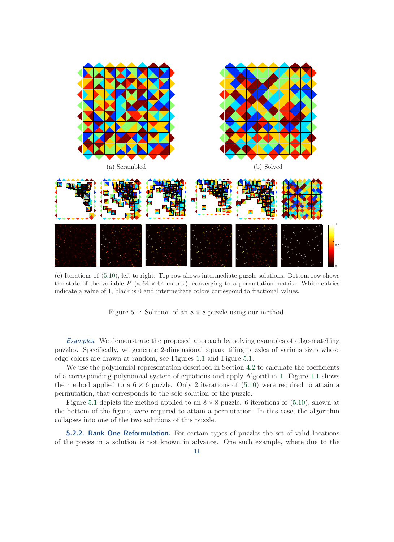<span id="page-10-0"></span>

(c) Iterations of [\(5.10\)](#page-9-2), left to right. Top row shows intermediate puzzle solutions. Bottom row shows the state of the variable  $P$  (a 64  $\times$  64 matrix), converging to a permutation matrix. White entries indicate a value of 1, black is 0 and intermediate colors correspond to fractional values.

Figure 5.1: Solution of an  $8 \times 8$  puzzle using our method.

Examples. We demonstrate the proposed approach by solving examples of edge-matching puzzles. Specifically, we generate 2-dimensional square tiling puzzles of various sizes whose edge colors are drawn at random, see Figures [1.1](#page-1-0) and Figure [5.1.](#page-10-0)

We use the polynomial representation described in Section [4.2](#page-5-1) to calculate the coefficients of a corresponding polynomial system of equations and apply Algorithm [1.](#page-9-1) Figure [1.1](#page-1-0) shows the method applied to a  $6 \times 6$  puzzle. Only 2 iterations of [\(5.10\)](#page-9-2) were required to attain a permutation, that corresponds to the sole solution of the puzzle.

Figure [5.1](#page-10-0) depicts the method applied to an  $8 \times 8$  puzzle. 6 iterations of [\(5.10\)](#page-9-2), shown at the bottom of the figure, were required to attain a permutation. In this case, the algorithm collapses into one of the two solutions of this puzzle.

<span id="page-10-1"></span>**5.2.2. Rank One Reformulation.** For certain types of puzzles the set of valid locations of the pieces in a solution is not known in advance. One such example, where due to the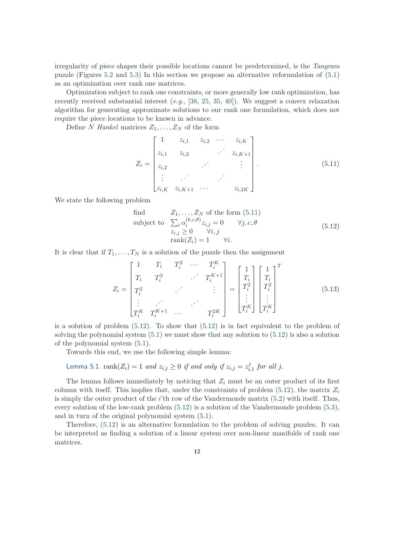irregularity of piece shapes their possible locations cannot be predetermined, is the *Tangram* puzzle (Figures [5.2](#page-14-0) and [5.3\)](#page-15-0) In this section we propose an alternative reformulation of [\(5.1\)](#page-6-1) as an optimization over rank one matrices.

Optimization subject to rank one constraints, or more generally low rank optimization, has recently received substantial interest (*e.g.*, [\[38,](#page-22-21) [25,](#page-22-22) [35,](#page-22-23) [40\]](#page-22-24)). We suggest a convex relaxation algorithm for generating approximate solutions to our rank one formulation, which does not require the piece locations to be known in advance.

Define N *Hankel* matrices  $Z_1, \ldots, Z_N$  of the form

<span id="page-11-0"></span>
$$
Z_{i} = \begin{bmatrix} 1 & z_{i,1} & z_{i,2} & \cdots & z_{i,K} \\ z_{i,1} & z_{i,2} & \cdots & z_{i,K+1} \\ z_{i,2} & & & \vdots \\ \vdots & \vdots & & \\ z_{i,K} & z_{i,K+1} & \cdots & z_{i,2K} \end{bmatrix} .
$$
 (5.11)

We state the following problem

<span id="page-11-1"></span>find 
$$
Z_1, ..., Z_N
$$
 of the form (5.11)  
\nsubject to  $\sum_i \alpha_i^{(k,c,\theta)} z_{i,j} = 0 \quad \forall j, c, \theta$   
\n $z_{i,j} \ge 0 \quad \forall i, j$   
\n $rank(Z_i) = 1 \quad \forall i.$  (5.12)

It is clear that if  $T_1, \ldots, T_N$  is a solution of the puzzle then the assignment

$$
Z_{i} = \begin{bmatrix} 1 & T_{i} & T_{i}^{2} & \cdots & T_{i}^{K} \\ T_{i} & T_{i}^{2} & & \cdots & T_{i}^{K+1} \\ T_{i}^{2} & & & \vdots \\ \vdots & \vdots & & \ddots \\ T_{i}^{K} & T_{i}^{K+1} & \cdots & & T_{i}^{2K} \end{bmatrix} = \begin{bmatrix} 1 \\ T_{i} \\ T_{i}^{2} \\ \vdots \\ T_{i}^{K} \end{bmatrix} \begin{bmatrix} 1 \\ T_{i} \\ T_{i}^{2} \\ \vdots \\ T_{i}^{K} \end{bmatrix}^{T}
$$
(5.13)

is a solution of problem  $(5.12)$ . To show that  $(5.12)$  is in fact equivalent to the problem of solving the polynomial system  $(5.1)$  we must show that any solution to  $(5.12)$  is also a solution of the polynomial system [\(5.1\)](#page-6-1).

Towards this end, we use the following simple lemma:

Lemma 5.1. rank
$$
(Z_i) = 1
$$
 and  $z_{i,j} \ge 0$  if and only if  $z_{i,j} = z_{i,1}^j$  for all j.

The lemma follows immediately by noticing that  $Z_i$  must be an outer product of its first column with itself. This implies that, under the constraints of problem  $(5.12)$ , the matrix  $Z_i$ is simply the outer product of the i'th row of the Vandermonde matrix [\(5.2\)](#page-7-1) with itself. Thus, every solution of the low-rank problem [\(5.12\)](#page-11-1) is a solution of the Vandermonde problem [\(5.3\)](#page-7-0), and in turn of the original polynomial system [\(5.1\)](#page-6-1).

Therefore, [\(5.12\)](#page-11-1) is an alternative formulation to the problem of solving puzzles. It can be interpreted as finding a solution of a linear system over non-linear manifolds of rank one matrices.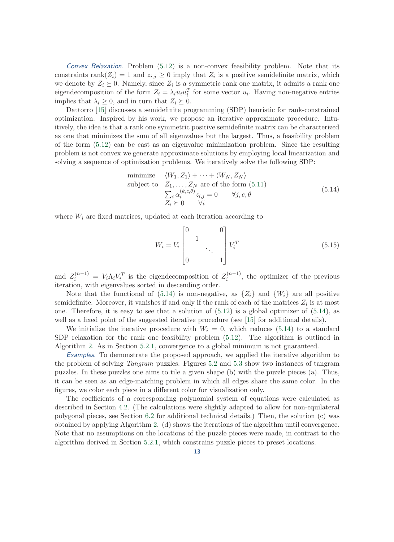Convex Relaxation. Problem  $(5.12)$  is a non-convex feasibility problem. Note that its constraints rank $(Z_i) = 1$  and  $z_{i,j} \geq 0$  imply that  $Z_i$  is a positive semidefinite matrix, which we denote by  $Z_i \succeq 0$ . Namely, since  $Z_i$  is a symmetric rank one matrix, it admits a rank one eigendecomposition of the form  $Z_i = \lambda_i u_i u_i^T$  for some vector  $u_i$ . Having non-negative entries implies that  $\lambda_i \geq 0$ , and in turn that  $Z_i \succeq 0$ .

Dattorro [\[15\]](#page-21-8) discusses a semidefinite programming (SDP) heuristic for rank-constrained optimization. Inspired by his work, we propose an iterative approximate procedure. Intuitively, the idea is that a rank one symmetric positive semidefinite matrix can be characterized as one that minimizes the sum of all eigenvalues but the largest. Thus, a feasibility problem of the form [\(5.12\)](#page-11-1) can be cast as an eigenvalue minimization problem. Since the resulting problem is not convex we generate approximate solutions by employing local linearization and solving a sequence of optimization problems. We iteratively solve the following SDP:

minimize 
$$
\langle W_1, Z_1 \rangle + \cdots + \langle W_N, Z_N \rangle
$$
  
\nsubject to  $Z_1, \ldots, Z_N$  are of the form (5.11)  
\n
$$
\sum_i \alpha_i^{(k,c,\theta)} z_{i,j} = 0 \quad \forall j, c, \theta
$$
\n
$$
Z_i \succeq 0 \quad \forall i
$$
\n(5.14)

where  $W_i$  are fixed matrices, updated at each iteration according to

<span id="page-12-1"></span><span id="page-12-0"></span>
$$
W_i = V_i \begin{bmatrix} 0 & 1 & 0 \\ & 1 & 0 & 0 \\ 0 & & & 1 \end{bmatrix} V_i^T
$$
 (5.15)

and  $Z_i^{(n-1)} = V_i \Lambda_i V_i^T$  is the eigendecomposition of  $Z_i^{(n-1)}$  $i^{(n-1)}$ , the optimizer of the previous iteration, with eigenvalues sorted in descending order.

Note that the functional of  $(5.14)$  is non-negative, as  $\{Z_i\}$  and  $\{W_i\}$  are all positive semidefinite. Moreover, it vanishes if and only if the rank of each of the matrices  $Z_i$  is at most one. Therefore, it is easy to see that a solution of  $(5.12)$  is a global optimizer of  $(5.14)$ , as well as a fixed point of the suggested iterative procedure (see [\[15\]](#page-21-8) for additional details).

We initialize the iterative procedure with  $W_i = 0$ , which reduces [\(5.14\)](#page-12-0) to a standard SDP relaxation for the rank one feasibility problem [\(5.12\)](#page-11-1). The algorithm is outlined in Algorithm [2.](#page-13-1) As in Section [5.2.1,](#page-7-2) convergence to a global minimum is not guaranteed.

Examples. To demonstrate the proposed approach, we applied the iterative algorithm to the problem of solving *Tangram* puzzles. Figures [5.2](#page-14-0) and [5.3](#page-15-0) show two instances of tangram puzzles. In these puzzles one aims to tile a given shape (b) with the puzzle pieces (a). Thus, it can be seen as an edge-matching problem in which all edges share the same color. In the figures, we color each piece in a different color for visualization only.

The coefficients of a corresponding polynomial system of equations were calculated as described in Section [4.2.](#page-5-1) (The calculations were slightly adapted to allow for non-equilateral polygonal pieces, see Section [6.2](#page-14-1) for additional technical details.) Then, the solution (c) was obtained by applying Algorithm [2.](#page-13-1) (d) shows the iterations of the algorithm until convergence. Note that no assumptions on the locations of the puzzle pieces were made, in contrast to the algorithm derived in Section [5.2.1,](#page-7-2) which constrains puzzle pieces to preset locations.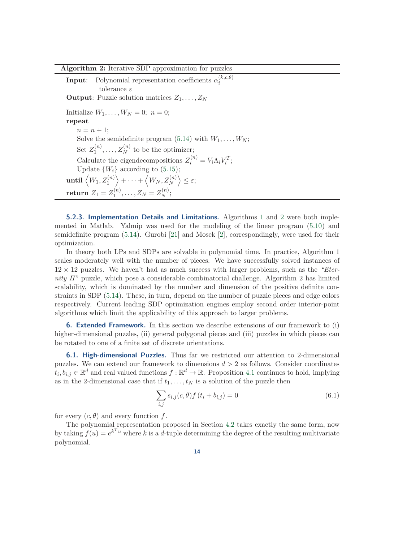# <span id="page-13-1"></span>Algorithm 2: Iterative SDP approximation for puzzles

**Input**: Polynomial representation coefficients  $\alpha_i^{(k,c,\theta)}$ i tolerance  $\varepsilon$ **Output:** Puzzle solution matrices  $Z_1, \ldots, Z_N$ Initialize  $W_1, \ldots, W_N = 0; n = 0;$ repeat  $n = n + 1$ ; Solve the semidefinite program  $(5.14)$  with  $W_1, \ldots, W_N$ ; Set  $Z_1^{(n)}$  $Z_1^{(n)}, \ldots, Z_N^{(n)}$  to be the optimizer; Calculate the eigendecompositions  $Z_i^{(n)} = V_i \Lambda_i V_i^T$ ; Update  $\{W_i\}$  according to [\(5.15\)](#page-12-1);  $\textbf{until}$   $\left(W_1, Z_1^{(n)}\right)$  $\Big\rangle + \cdots + \Big\langle W_N, Z_N^{(n)} \Big\rangle$  $\Big\} \leq \varepsilon;$  $\textbf{return} \; Z_1 = Z_1^{(n)}$  $Z_1^{(n)}, \ldots, Z_N = Z_N^{(n)}$  $\stackrel{(n)}{N}$ 

5.2.3. Implementation Details and Limitations. Algorithms [1](#page-9-1) and [2](#page-13-1) were both implemented in Matlab. Yalmip was used for the modeling of the linear program [\(5.10\)](#page-9-2) and semidefinite program [\(5.14\)](#page-12-0). Gurobi [\[21\]](#page-22-25) and Mosek [\[2\]](#page-21-16), correspondingly, were used for their optimization.

In theory both LPs and SDPs are solvable in polynomial time. In practice, Algorithm 1 scales moderately well with the number of pieces. We have successfully solved instances of 12 × 12 puzzles. We haven't had as much success with larger problems, such as the *"Eternity II"* puzzle, which pose a considerable combinatorial challenge. Algorithm 2 has limited scalability, which is dominated by the number and dimension of the positive definite constraints in SDP [\(5.14\)](#page-12-0). These, in turn, depend on the number of puzzle pieces and edge colors respectively. Current leading SDP optimization engines employ second order interior-point algorithms which limit the applicability of this approach to larger problems.

<span id="page-13-0"></span>**6. Extended Framework.** In this section we describe extensions of our framework to (i) higher-dimensional puzzles, (ii) general polygonal pieces and (iii) puzzles in which pieces can be rotated to one of a finite set of discrete orientations.

<span id="page-13-2"></span>6.1. High-dimensional Puzzles. Thus far we restricted our attention to 2-dimensional puzzles. We can extend our framework to dimensions  $d > 2$  as follows. Consider coordinates  $t_i, b_{i,j} \in \mathbb{R}^d$  and real valued functions  $f : \mathbb{R}^d \to \mathbb{R}$ . Proposition [4.1](#page-4-1) continues to hold, implying as in the 2-dimensional case that if  $t_1, \ldots, t_N$  is a solution of the puzzle then

$$
\sum_{i,j} s_{i,j}(c,\theta) f(t_i + b_{i,j}) = 0
$$
\n(6.1)

for every  $(c, \theta)$  and every function f.

The polynomial representation proposed in Section [4.2](#page-6-0) takes exactly the same form, now by taking  $f(u) = e^{k^T u}$  where k is a d-tuple determining the degree of the resulting multivariate polynomial.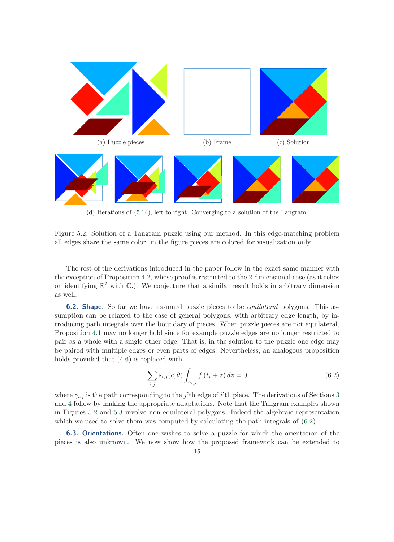<span id="page-14-0"></span>

(d) Iterations of [\(5.14\)](#page-12-0), left to right. Converging to a solution of the Tangram.

Figure 5.2: Solution of a Tangram puzzle using our method. In this edge-matching problem all edges share the same color, in the figure pieces are colored for visualization only.

The rest of the derivations introduced in the paper follow in the exact same manner with the exception of Proposition [4.2,](#page-6-0) whose proof is restricted to the 2-dimensional case (as it relies on identifying  $\mathbb{R}^2$  with C.). We conjecture that a similar result holds in arbitrary dimension as well.

<span id="page-14-1"></span>6.2. Shape. So far we have assumed puzzle pieces to be *equilateral* polygons. This assumption can be relaxed to the case of general polygons, with arbitrary edge length, by introducing path integrals over the boundary of pieces. When puzzle pieces are not equilateral, Proposition [4.1](#page-4-1) may no longer hold since for example puzzle edges are no longer restricted to pair as a whole with a single other edge. That is, in the solution to the puzzle one edge may be paired with multiple edges or even parts of edges. Nevertheless, an analogous proposition holds provided that [\(4.6\)](#page-4-1) is replaced with

<span id="page-14-2"></span>
$$
\sum_{i,j} s_{i,j}(c,\theta) \int_{\gamma_{i,j}} f(t_i + z) dz = 0
$$
\n(6.2)

where  $\gamma_{i,j}$  is the path corresponding to the j'th edge of i'th piece. The derivations of Sections [3](#page-2-1) and [4](#page-3-2) follow by making the appropriate adaptations. Note that the Tangram examples shown in Figures [5.2](#page-14-0) and [5.3](#page-15-0) involve non equilateral polygons. Indeed the algebraic representation which we used to solve them was computed by calculating the path integrals of  $(6.2)$ .

6.3. Orientations. Often one wishes to solve a puzzle for which the orientation of the pieces is also unknown. We now show how the proposed framework can be extended to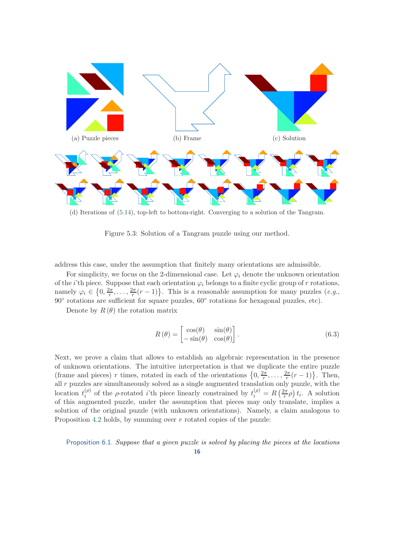<span id="page-15-0"></span>

(d) Iterations of [\(5.14\)](#page-12-0), top-left to bottom-right. Converging to a solution of the Tangram.

Figure 5.3: Solution of a Tangram puzzle using our method.

address this case, under the assumption that finitely many orientations are admissible.

For simplicity, we focus on the 2-dimensional case. Let  $\varphi_i$  denote the unknown orientation of the *i*'th piece. Suppose that each orientation  $\varphi_i$  belongs to a finite cyclic group of r rotations, namely  $\varphi_i \in \left\{0, \frac{2\pi}{r}, \ldots, \frac{2\pi}{r}(r-1)\right\}$ . This is a reasonable assumption for many puzzles  $(e.g.,$ 90◦ rotations are sufficient for square puzzles, 60◦ rotations for hexagonal puzzles, etc).

Denote by  $R(\theta)$  the rotation matrix

$$
R(\theta) = \begin{bmatrix} \cos(\theta) & \sin(\theta) \\ -\sin(\theta) & \cos(\theta) \end{bmatrix}.
$$
 (6.3)

Next, we prove a claim that allows to establish an algebraic representation in the presence of unknown orientations. The intuitive interpretation is that we duplicate the entire puzzle (frame and pieces) r times, rotated in each of the orientations  $\{0, \frac{2\pi}{r}, \ldots, \frac{2\pi}{r}(r-1)\}\$ . Then, all  $r$  puzzles are simultaneously solved as a single augmented translation only puzzle, with the location  $t_i^{(\rho)}$ <sup>(ρ)</sup> of the ρ-rotated *i*'th piece linearly constrained by  $t_i^{(\rho)} = R\left(\frac{2\pi}{r}\right)$  $(\frac{2\pi}{r}\rho) t_i$ . A solution of this augmented puzzle, under the assumption that pieces may only translate, implies a solution of the original puzzle (with unknown orientations). Namely, a claim analogous to Proposition [4.2](#page-6-0) holds, by summing over  $r$  rotated copies of the puzzle:

Proposition 6.1. *Suppose that a given puzzle is solved by placing the pieces at the locations*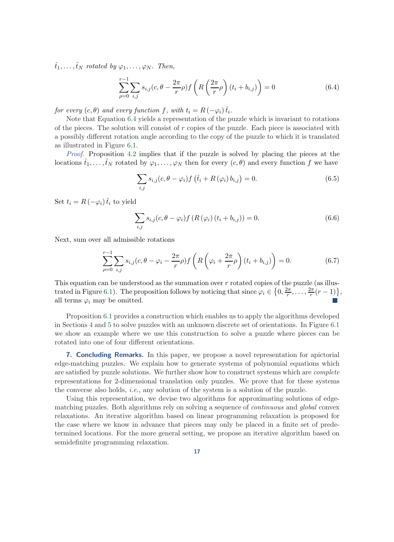$\hat{t}_1, \ldots, \hat{t}_N$  *rotated by*  $\varphi_1, \ldots, \varphi_N$ *. Then,* 

<span id="page-16-0"></span>
$$
\sum_{\rho=0}^{r-1} \sum_{i,j} s_{i,j}(c, \theta - \frac{2\pi}{r} \rho) f\left(R\left(\frac{2\pi}{r}\rho\right) (t_i + b_{i,j})\right) = 0 \tag{6.4}
$$

*for every*  $(c, \theta)$  *and every function*  $f$ *, with*  $t_i = R(-\varphi_i) \hat{t}_i$ *.* 

Note that Equation [6.4](#page-16-0) yields a representation of the puzzle which is invariant to rotations of the pieces. The solution will consist of  $r$  copies of the puzzle. Each piece is associated with a possibly different rotation angle according to the copy of the puzzle to which it is translated as illustrated in Figure [6.1.](#page-17-0)

*Proof*. Proposition [4.2](#page-6-0) implies that if the puzzle is solved by placing the pieces at the locations  $\hat{t}_1, \ldots, \hat{t}_N$  rotated by  $\varphi_1, \ldots, \varphi_N$  then for every  $(c, \theta)$  and every function f we have

$$
\sum_{i,j} s_{i,j}(c, \theta - \varphi_i) f\left(\hat{t}_i + R(\varphi_i) b_{i,j}\right) = 0. \tag{6.5}
$$

Set  $t_i = R(-\varphi_i) \hat{t}_i$  to yield

$$
\sum_{i,j} s_{i,j}(c, \theta - \varphi_i) f(R(\varphi_i) (t_i + b_{i,j})) = 0.
$$
\n(6.6)

Next, sum over all admissible rotations

$$
\sum_{\rho=0}^{r-1} \sum_{i,j} s_{i,j} (c, \theta - \varphi_i - \frac{2\pi}{r} \rho) f\left( R \left( \varphi_i + \frac{2\pi}{r} \rho \right) (t_i + b_{i,j}) \right) = 0. \tag{6.7}
$$

This equation can be understood as the summation over r rotated copies of the puzzle (as illus-trated in Figure [6.1\)](#page-17-0). The proposition follows by noticing that since  $\varphi_i \in \left\{0, \frac{2\pi}{r}, \ldots, \frac{2\pi}{r}(r-1)\right\}$ , all terms  $\varphi_i$  may be omitted.

Proposition [6.1](#page-16-0) provides a construction which enables us to apply the algorithms developed in Sections [4](#page-3-2) and [5](#page-6-2) to solve puzzles with an unknown discrete set of orientations. In Figure [6.1](#page-17-0) we show an example where we use this construction to solve a puzzle where pieces can be rotated into one of four different orientations.

7. Concluding Remarks. In this paper, we propose a novel representation for apictorial edge-matching puzzles. We explain how to generate systems of polynomial equations which are satisfied by puzzle solutions. We further show how to construct systems which are *complete* representations for 2-dimensional translation only puzzles. We prove that for these systems the converse also holds, *i.e.*, any solution of the system is a solution of the puzzle.

Using this representation, we devise two algorithms for approximating solutions of edgematching puzzles. Both algorithms rely on solving a sequence of *continuous* and *global* convex relaxations. An iterative algorithm based on linear programming relaxation is proposed for the case where we know in advance that pieces may only be placed in a finite set of predetermined locations. For the more general setting, we propose an iterative algorithm based on semidefinite programming relaxation.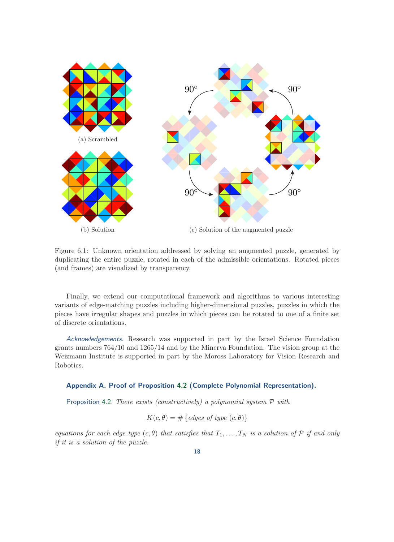<span id="page-17-0"></span>

Figure 6.1: Unknown orientation addressed by solving an augmented puzzle, generated by duplicating the entire puzzle, rotated in each of the admissible orientations. Rotated pieces (and frames) are visualized by transparency.

Finally, we extend our computational framework and algorithms to various interesting variants of edge-matching puzzles including higher-dimensional puzzles, puzzles in which the pieces have irregular shapes and puzzles in which pieces can be rotated to one of a finite set of discrete orientations.

Acknowledgements. Research was supported in part by the Israel Science Foundation grants numbers 764/10 and 1265/14 and by the Minerva Foundation. The vision group at the Weizmann Institute is supported in part by the Moross Laboratory for Vision Research and Robotics.

### <span id="page-17-1"></span>Appendix A. Proof of Proposition [4.2](#page-6-0) (Complete Polynomial Representation).

Proposition [4.2.](#page-6-0) *There exists (constructively) a polynomial system* P *with*

$$
K(c, \theta) = # \{ edges \ of \ type \ (c, \theta) \}
$$

*equations for each edge type*  $(c, \theta)$  *that satisfies that*  $T_1, \ldots, T_N$  *is a solution of*  $P$  *if and only if it is a solution of the puzzle.*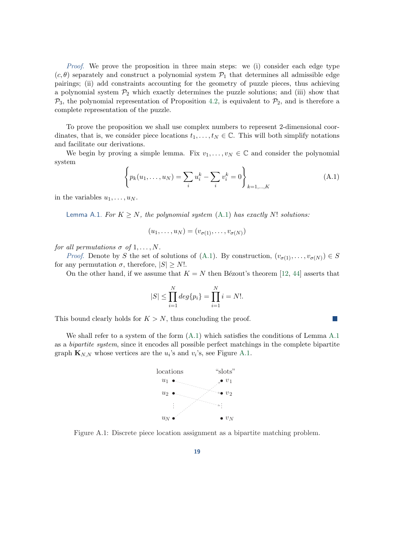*Proof*. We prove the proposition in three main steps: we (i) consider each edge type  $(c, \theta)$  separately and construct a polynomial system  $\mathcal{P}_1$  that determines all admissible edge pairings; (ii) add constraints accounting for the geometry of puzzle pieces, thus achieving a polynomial system  $\mathcal{P}_2$  which exactly determines the puzzle solutions; and (iii) show that  $\mathcal{P}_3$ , the polynomial representation of Proposition [4.2,](#page-6-0) is equivalent to  $\mathcal{P}_2$ , and is therefore a complete representation of the puzzle.

To prove the proposition we shall use complex numbers to represent 2-dimensional coordinates, that is, we consider piece locations  $t_1, \ldots, t_N \in \mathbb{C}$ . This will both simplify notations and facilitate our derivations.

<span id="page-18-0"></span>We begin by proving a simple lemma. Fix  $v_1, \ldots, v_N \in \mathbb{C}$  and consider the polynomial system

$$
\left\{ p_k(u_1, \dots, u_N) = \sum_i u_i^k - \sum_i v_i^k = 0 \right\}_{k=1,\dots,K}
$$
 (A.1)

 $\mathcal{L}_{\mathcal{A}}$ 

<span id="page-18-1"></span>in the variables  $u_1, \ldots, u_N$ .

Lemma A.1. For  $K \geq N$ , the polynomial system  $(A.1)$  has exactly N! solutions:

$$
(u_1,\ldots,u_N)=(v_{\sigma(1)},\ldots,v_{\sigma(N)})
$$

*for all permutations*  $\sigma$  *of* 1, ..., N.

*Proof.* Denote by S the set of solutions of [\(A.1\)](#page-18-0). By construction,  $(v_{\sigma(1)},...,v_{\sigma(N)}) \in S$ for any permutation  $\sigma$ , therefore,  $|S| \geq N!$ .

On the other hand, if we assume that  $K = N$  then Bézout's theorem [\[12,](#page-21-10) [44\]](#page-23-4) asserts that

$$
|S| \le \prod_{i=1}^{N} deg\{p_i\} = \prod_{i=1}^{N} i = N!.
$$

This bound clearly holds for  $K > N$ , thus concluding the proof.

<span id="page-18-2"></span>We shall refer to a system of the form  $(A.1)$  $(A.1)$  $(A.1)$  which satisfies the conditions of Lemma A.1 as a *bipartite system*, since it encodes all possible perfect matchings in the complete bipartite graph  $\mathbf{K}_{N,N}$  whose vertices are the  $u_i$ 's and  $v_i$ 's, see Figure [A.1.](#page-18-2)



Figure A.1: Discrete piece location assignment as a bipartite matching problem.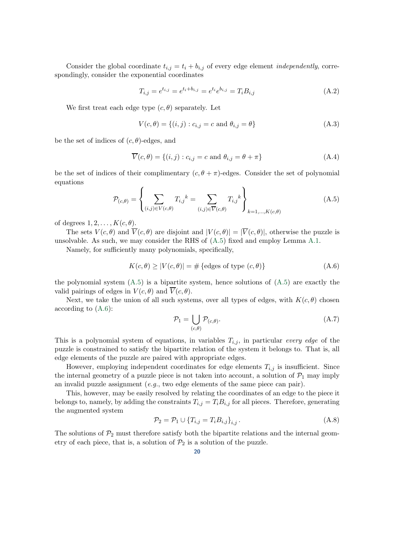Consider the global coordinate  $t_{i,j} = t_i + b_{i,j}$  of every edge element *independently*, correspondingly, consider the exponential coordinates

$$
T_{i,j} = e^{t_{i,j}} = e^{t_i + b_{i,j}} = e^{t_i} e^{b_{i,j}} = T_i B_{i,j}
$$
\n(A.2)

We first treat each edge type  $(c, \theta)$  separately. Let

$$
V(c, \theta) = \{(i, j) : c_{i,j} = c \text{ and } \theta_{i,j} = \theta\}
$$
 (A.3)

be the set of indices of  $(c, \theta)$ -edges, and

$$
\overline{V}(c,\theta) = \{(i,j) : c_{i,j} = c \text{ and } \theta_{i,j} = \theta + \pi\}
$$
\n(A.4)

be the set of indices of their complimentary  $(c, \theta + \pi)$ -edges. Consider the set of polynomial equations

<span id="page-19-0"></span>
$$
\mathcal{P}_{(c,\theta)} = \left\{ \sum_{(i,j)\in V(c,\theta)} T_{i,j}^{\qquad k} = \sum_{(i,j)\in \overline{V}(c,\theta)} T_{i,j}^{\qquad k} \right\}_{k=1,\ldots,K(c,\theta)} \tag{A.5}
$$

of degrees  $1, 2, \ldots, K(c, \theta)$ .

The sets  $V(c, \theta)$  and  $\overline{V}(c, \theta)$  are disjoint and  $|V(c, \theta)| = |\overline{V}(c, \theta)|$ , otherwise the puzzle is unsolvable. As such, we may consider the RHS of  $(A.5)$  fixed and employ Lemma [A.1.](#page-18-1)

Namely, for sufficiently many polynomials, specifically,

$$
K(c, \theta) \ge |V(c, \theta)| = \#\{\text{edges of type } (c, \theta)\}\
$$
 (A.6)

the polynomial system  $(A.5)$  is a bipartite system, hence solutions of  $(A.5)$  are exactly the valid pairings of edges in  $V(c, \theta)$  and  $\overline{V}(c, \theta)$ .

Next, we take the union of all such systems, over all types of edges, with  $K(c, \theta)$  chosen according to [\(A.6\)](#page-19-1):

<span id="page-19-1"></span>
$$
\mathcal{P}_1 = \bigcup_{(c,\theta)} \mathcal{P}_{(c,\theta)}.
$$
\n(A.7)

This is a polynomial system of equations, in variables  $T_{i,j}$ , in particular *every edge* of the puzzle is constrained to satisfy the bipartite relation of the system it belongs to. That is, all edge elements of the puzzle are paired with appropriate edges.

However, employing independent coordinates for edge elements  $T_{i,j}$  is insufficient. Since the internal geometry of a puzzle piece is not taken into account, a solution of  $\mathcal{P}_1$  may imply an invalid puzzle assignment (*e.g.*, two edge elements of the same piece can pair).

This, however, may be easily resolved by relating the coordinates of an edge to the piece it belongs to, namely, by adding the constraints  $T_{i,j} = T_i B_{i,j}$  for all pieces. Therefore, generating the augmented system

$$
\mathcal{P}_2 = \mathcal{P}_1 \cup \{ T_{i,j} = T_i B_{i,j} \}_{i,j}.
$$
\n(A.8)

The solutions of  $\mathcal{P}_2$  must therefore satisfy both the bipartite relations and the internal geometry of each piece, that is, a solution of  $\mathcal{P}_2$  is a solution of the puzzle.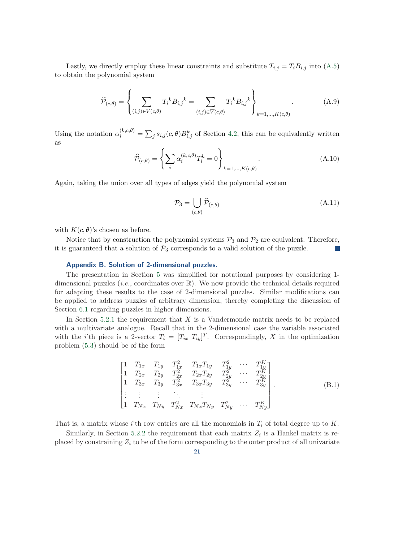Lastly, we directly employ these linear constraints and substitute  $T_{i,j} = T_i B_{i,j}$  into [\(A.5\)](#page-19-0) to obtain the polynomial system

$$
\widehat{\mathcal{P}}_{(c,\theta)} = \left\{ \sum_{(i,j)\in V(c,\theta)} T_i^k B_{i,j}{}^k = \sum_{(i,j)\in \overline{V}(c,\theta)} T_i^k B_{i,j}{}^k \right\}_{k=1,\dots,K(c,\theta)}.
$$
(A.9)

Using the notation  $\alpha_i^{(k,c,\theta)} = \sum_j s_{i,j}(c,\theta) B_{i,j}^k$  of Section [4.2,](#page-5-1) this can be equivalently written as

$$
\widehat{\mathcal{P}}_{(c,\theta)} = \left\{ \sum_{i} \alpha_i^{(k,c,\theta)} T_i^k = 0 \right\}_{k=1,\ldots,K(c,\theta)}.
$$
\n(A.10)

Again, taking the union over all types of edges yield the polynomial system

$$
\mathcal{P}_3 = \bigcup_{(c,\theta)} \widehat{\mathcal{P}}_{(c,\theta)} \tag{A.11}
$$

with  $K(c, \theta)$ 's chosen as before.

<span id="page-20-0"></span>Notice that by construction the polynomial systems  $\mathcal{P}_3$  and  $\mathcal{P}_2$  are equivalent. Therefore, it is guaranteed that a solution of  $P_3$  corresponds to a valid solution of the puzzle.

### Appendix B. Solution of 2-dimensional puzzles.

The presentation in Section [5](#page-6-2) was simplified for notational purposes by considering 1 dimensional puzzles (*i.e.*, coordinates over R). We now provide the technical details required for adapting these results to the case of 2-dimensional puzzles. Similar modifications can be applied to address puzzles of arbitrary dimension, thereby completing the discussion of Section [6.1](#page-13-2) regarding puzzles in higher dimensions.

In Section [5.2.1](#page-7-2) the requirement that  $X$  is a Vandermonde matrix needs to be replaced with a multivariate analogue. Recall that in the 2-dimensional case the variable associated with the *i*'th piece is a 2-vector  $T_i = [T_{ix} \ T_{iy}]^T$ . Correspondingly, X in the optimization problem [\(5.3\)](#page-7-0) should be of the form

$$
\begin{bmatrix}\n1 & T_{1x} & T_{1y} & T_{1x}^2 & T_{1x}T_{1y} & T_{1y}^2 & \cdots & T_{1y}^K \\
1 & T_{2x} & T_{2y} & T_{2x}^2 & T_{2x}T_{2y} & T_{2y}^2 & \cdots & T_{2y}^K \\
1 & T_{3x} & T_{3y} & T_{3x}^2 & T_{3x}T_{3y} & T_{3y}^2 & \cdots & T_{3y}^K \\
\vdots & \vdots & \vdots & \ddots & \vdots & \vdots \\
1 & T_{Nx} & T_{Ny} & T_{Nx}^2 & T_{Nx}T_{Ny} & T_{Ny}^2 & \cdots & T_{Ny}^K\n\end{bmatrix}.
$$
\n(B.1)

That is, a matrix whose i'th row entries are all the monomials in  $T_i$  of total degree up to K.

Similarly, in Section [5.2.2](#page-10-1) the requirement that each matrix  $Z_i$  is a Hankel matrix is replaced by constraining  $Z_i$  to be of the form corresponding to the outer product of all univariate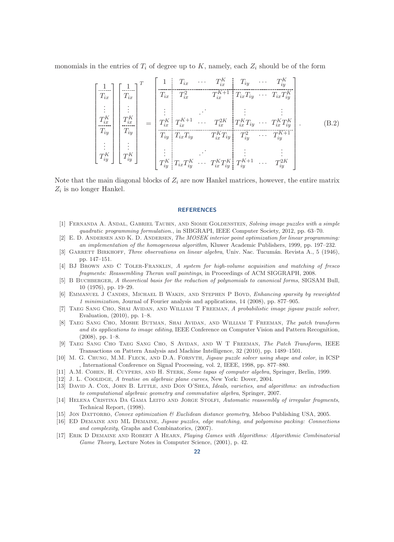monomials in the entries of  $T_i$  of degree up to K, namely, each  $Z_i$  should be of the form

$$
\begin{bmatrix}\n1 \\
T_{ix} \\
\vdots \\
T_{ix}^K \\
\hline\nT_{iy}^K\n\end{bmatrix}\n\begin{bmatrix}\n1 \\
T_{ix} \\
T_{ix} \\
\vdots \\
T_{iy}^K \\
\hline\nT_{iy}^K\n\end{bmatrix} =\n\begin{bmatrix}\n1 \\
T_{ix} & T_{ix}^2 & T_{ix}^{K+1} \\
T_{ix}^2 & T_{ix}^{K+1} & T_{ix}T_{iy} & \cdots & T_{ix}T_{iy}^K \\
\vdots & \vdots & \vdots & \vdots & \vdots \\
T_{ix}^K & T_{ix}^K & T_{ix}^K & T_{ix}^K & T_{ix}^K & T_{iy}^K \\
\hline\nT_{iy}^T & T_{ix}^T & T_{iy}^T & T_{ix}^T & T_{iy}^T & \cdots & T_{iy}^{K+1} \\
\vdots & \vdots & \vdots & \vdots & \vdots & \vdots \\
T_{iy}^K & T_{iy}^T & T_{ix}^T & \cdots & T_{ix}^T & T_{iy}^K & T_{iy}^{K+1} & \cdots & T_{iy}^{2K}\n\end{bmatrix}.
$$
\n(B.2)

Note that the main diagonal blocks of  $Z_i$  are now Hankel matrices, however, the entire matrix  $Z_i$  is no longer Hankel.

#### **REFERENCES**

- <span id="page-21-7"></span>[1] Fernanda A. Andal, Gabriel Taubin, and Siome Goldenstein, *Solving image puzzles with a simple quadratic programming formulation.*, in SIBGRAPI, IEEE Computer Society, 2012, pp. 63–70.
- <span id="page-21-16"></span>[2] E. D. Andersen and K. D. Andersen, *The MOSEK interior point optimization for linear programming: an implementation of the homogeneous algorithm*, Kluwer Academic Publishers, 1999, pp. 197–232.
- <span id="page-21-14"></span>[3] GARRETT BIRKHOFF, *Three observations on linear algebra*, Univ. Nac. Tucumán. Revista A., 5 (1946), pp. 147–151.
- <span id="page-21-1"></span>[4] BJ Brown and C Toler-Franklin, *A system for high-volume acquisition and matching of fresco fragments: Reassembling Theran wall paintings*, in Proceedings of ACM SIGGRAPH, 2008.
- <span id="page-21-13"></span>[5] B Buchberger, *A theoretical basis for the reduction of polynomials to canonical forms*, SIGSAM Bull, 10 (1976), pp. 19–29.
- <span id="page-21-15"></span>[6] Emmanuel J Candes, Michael B Wakin, and Stephen P Boyd, *Enhancing sparsity by reweighted 1 minimization*, Journal of Fourier analysis and applications, 14 (2008), pp. 877–905.
- <span id="page-21-6"></span>[7] Taeg Sang Cho, Shai Avidan, and William T Freeman, *A probabilistic image jigsaw puzzle solver*, Evaluation, (2010), pp. 1–8.
- <span id="page-21-3"></span>[8] Taeg Sang Cho, Moshe Butman, Shai Avidan, and William T Freeman, *The patch transform and its applications to image editing*, IEEE Conference on Computer Vision and Pattern Recognition,  $(2008)$ , pp. 1–8.
- <span id="page-21-4"></span>[9] Taeg Sang Cho Taeg Sang Cho, S Avidan, and W T Freeman, *The Patch Transform*, IEEE Transactions on Pattern Analysis and Machine Intelligence, 32 (2010), pp. 1489–1501.
- <span id="page-21-5"></span>[10] M. G. Chung, M.M. Fleck, and D.A. Forsyth, *Jigsaw puzzle solver using shape and color*, in ICSP , International Conference on Signal Processing, vol. 2, IEEE, 1998, pp. 877–880.
- <span id="page-21-11"></span><span id="page-21-10"></span>[11] A.M. Cohen, H. Cuypers, and H. Sterk, *Some tapas of computer algebra*, Springer, Berlin, 1999.
- <span id="page-21-12"></span>[12] J. L. Coolidge, *A treatise on algebraic plane curves*, New York: Dover, 2004.
- [13] David A. Cox, John B. Little, and Don O'Shea, *Ideals, varieties, and algorithms: an introduction to computational algebraic geometry and commutative algebra*, Springer, 2007.
- <span id="page-21-2"></span>[14] Helena Cristina Da Gama Leito and Jorge Stolfi, *Automatic reassembly of irregular fragments*, Technical Report, (1998).
- <span id="page-21-9"></span><span id="page-21-8"></span>[15] Jon Dattorro, *Convex optimization & Euclidean distance geometry*, Meboo Publishing USA, 2005.
- [16] ED Demaine and ML Demaine, *Jigsaw puzzles, edge matching, and polyomino packing: Connections and complexity*, Graphs and Combinatorics, (2007).
- <span id="page-21-0"></span>[17] Erik D Demaine and Robert A Hearn, *Playing Games with Algorithms: Algorithmic Combinatorial Game Theory*, Lecture Notes in Computer Science, (2001), p. 42.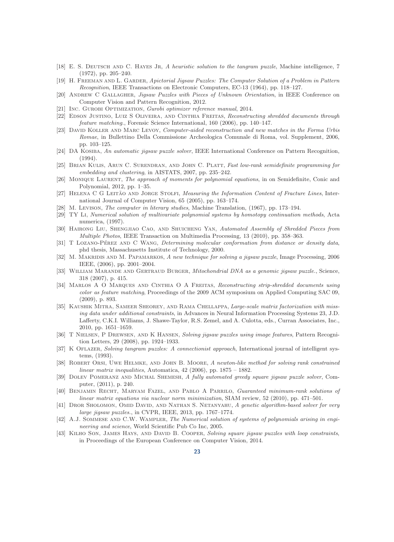- <span id="page-22-16"></span>[18] E. S. Deutsch and C. Hayes Jr, *A heuristic solution to the tangram puzzle*, Machine intelligence, 7 (1972), pp. 205–240.
- <span id="page-22-11"></span>[19] H. Freeman and L. Garder, *Apictorial Jigsaw Puzzles: The Computer Solution of a Problem in Pattern Recognition*, IEEE Transactions on Electronic Computers, EC-13 (1964), pp. 118–127.
- <span id="page-22-25"></span><span id="page-22-1"></span>[20] Andrew C Gallagher, *Jigsaw Puzzles with Pieces of Unknown Orientation*, in IEEE Conference on Computer Vision and Pattern Recognition, 2012.
- <span id="page-22-5"></span>[21] Inc. Gurobi Optimization, *Gurobi optimizer reference manual*, 2014.
- [22] Edson Justino, Luiz S Oliveira, and Cinthia Freitas, *Reconstructing shredded documents through feature matching.*, Forensic Science International, 160 (2006), pp. 140–147.
- <span id="page-22-3"></span>[23] David Koller and Marc Levoy, *Computer-aided reconstruction and new matches in the Forma Urbis Romae*, in Bullettino Della Commissione Archeologica Comunale di Roma, vol. Supplement, 2006, pp. 103–125.
- <span id="page-22-12"></span>[24] DA Kosiba, *An automatic jigsaw puzzle solver*, IEEE International Conference on Pattern Recognition, (1994).
- <span id="page-22-22"></span>[25] Brian Kulis, Arun C. Surendran, and John C. Platt, *Fast low-rank semidefinite programming for embedding and clustering*, in AISTATS, 2007, pp. 235–242.
- <span id="page-22-18"></span>[26] Monique Laurent, *The approach of moments for polynomial equations*, in on Semidefinite, Conic and Polynomial, 2012, pp. 1–35.
- <span id="page-22-4"></span>[27] HELENA C G LEITÃO AND JORGE STOLFI, *Measuring the Information Content of Fracture Lines*, International Journal of Computer Vision, 65 (2005), pp. 163–174.
- <span id="page-22-19"></span><span id="page-22-8"></span>[28] M. Levison, *The computer in literary studies*, Machine Translation, (1967), pp. 173–194.
- [29] TY Li, *Numerical solution of multivariate polynomial systems by homotopy continuation methods*, Acta numerica, (1997).
- <span id="page-22-7"></span>[30] Hairong Liu, Shengjiao Cao, and Shuicheng Yan, *Automated Assembly of Shredded Pieces from Multiple Photos*, IEEE Transaction on Multimedia Processing, 13 (2010), pp. 358–363.
- <span id="page-22-10"></span>[31] T LOZANO-PÉREZ AND C WANG, *Determining molecular conformation from distance or density data*, phd thesis, Massachusetts Institute of Technology, 2000.
- <span id="page-22-13"></span>[32] M. Makridis and M. Papamarkos, *A new technique for solving a jigsaw puzzle*, Image Processing, 2006 IEEE, (2006), pp. 2001–2004.
- <span id="page-22-9"></span>[33] William Marande and Gertraud Burger, *Mitochondrial DNA as a genomic jigsaw puzzle.*, Science, 318 (2007), p. 415.
- <span id="page-22-6"></span>[34] Marlos A O Marques and Cinthia O A Freitas, *Reconstructing strip-shredded documents using color as feature matching*, Proceedings of the 2009 ACM symposium on Applied Computing SAC 09, (2009), p. 893.
- <span id="page-22-23"></span>[35] Kaushik Mitra, Sameer Sheorey, and Rama Chellappa, *Large-scale matrix factorization with missing data under additional constraints*, in Advances in Neural Information Processing Systems 23, J.D. Lafferty, C.K.I. Williams, J. Shawe-Taylor, R.S. Zemel, and A. Culotta, eds., Curran Associates, Inc., 2010, pp. 1651–1659.
- <span id="page-22-14"></span>[36] T Nielsen, P Drewsen, and K Hansen, *Solving jigsaw puzzles using image features*, Pattern Recognition Letters, 29 (2008), pp. 1924–1933.
- <span id="page-22-17"></span>[37] K OFLAZER, *Solving tangram puzzles: A connectionist approach*, International journal of intelligent systems, (1993).
- <span id="page-22-21"></span>[38] Robert Orsi, Uwe Helmke, and John B. Moore, *A newton-like method for solving rank constrained linear matrix inequalities*, Automatica, 42 (2006), pp. 1875 – 1882.
- <span id="page-22-0"></span>[39] Dolev Pomeranz and Michal Shemesh, *A fully automated greedy square jigsaw puzzle solver*, Computer, (2011), p. 240.
- <span id="page-22-24"></span>[40] Benjamin Recht, Maryam Fazel, and Pablo A Parrilo, *Guaranteed minimum-rank solutions of linear matrix equations via nuclear norm minimization*, SIAM review, 52 (2010), pp. 471–501.
- <span id="page-22-15"></span>[41] Dror Sholomon, Omid David, and Nathan S. Netanyahu, *A genetic algorithm-based solver for very large jigsaw puzzles.*, in CVPR, IEEE, 2013, pp. 1767–1774.
- <span id="page-22-20"></span>[42] A.J. Sommese and C.W. Wampler, *The Numerical solution of systems of polynomials arising in engineering and science*, World Scientific Pub Co Inc, 2005.
- <span id="page-22-2"></span>[43] KILHO SON, JAMES HAYS, AND DAVID B. COOPER, *Solving square jigsaw puzzles with loop constraints*, in Proceedings of the European Conference on Computer Vision, 2014.